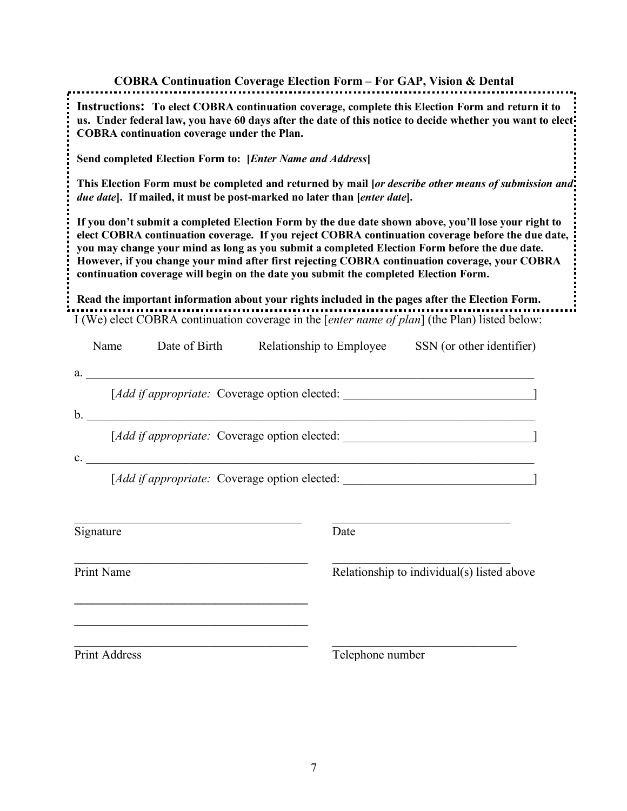# **COBRA Continuation Coverage Election Form – For GAP, Vision & Dental** I (We) elect COBRA continuation coverage in the [*enter name of plan*] (the Plan) listed below: Name Date of Birth Relationship to Employee SSN (or other identifier) **Instructions: To elect COBRA continuation coverage, complete this Election Form and return it to us. Under federal law, you have 60 days after the date of this notice to decide whether you want to elect COBRA continuation coverage under the Plan. Send completed Election Form to: [***Enter Name and Address***] This Election Form must be completed and returned by mail [***or describe other means of submission and due date***]. If mailed, it must be post-marked no later than [***enter date***]. If you don't submit a completed Election Form by the due date shown above, you'll lose your right to elect COBRA continuation coverage. If you reject COBRA continuation coverage before the due date, you may change your mind as long as you submit a completed Election Form before the due date. However, if you change your mind after first rejecting COBRA continuation coverage, your COBRA continuation coverage will begin on the date you submit the completed Election Form. Read the important information about your rights included in the pages after the Election Form.**

| TVALLIC              | Date of Biful Relationship to Employee 5518 (of other identifier)                |
|----------------------|----------------------------------------------------------------------------------|
|                      |                                                                                  |
|                      | [Add if appropriate: Coverage option elected: __________________________________ |
|                      | <u> 1989 - Johann Stoff, amerikansk politiker (d. 1989)</u>                      |
|                      | [Add if appropriate: Coverage option elected: __________________________________ |
|                      | c.                                                                               |
|                      | [Add if appropriate: Coverage option elected: __________________________________ |
|                      |                                                                                  |
| Signature            | Date                                                                             |
| Print Name           | Relationship to individual(s) listed above                                       |
| <b>Print Address</b> | Telephone number                                                                 |
|                      | a.                                                                               |